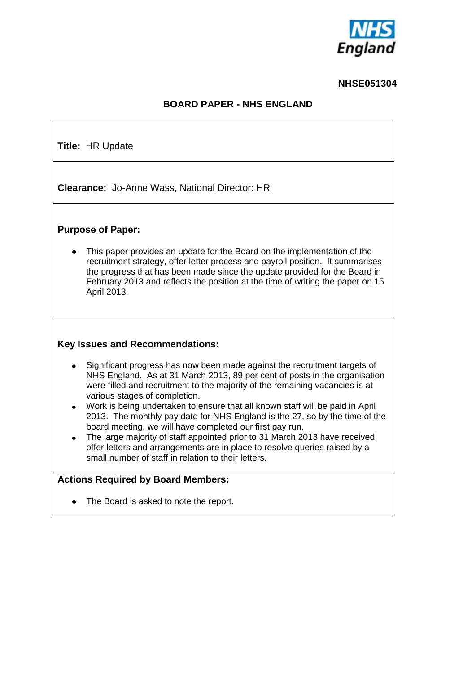

#### **NHSE051304**

# **BOARD PAPER - NHS ENGLAND**

 $\overline{\phantom{a}}$ 

| <b>Title: HR Update</b>                                                                                                                                                                                                                                                                                                                                                                                                                                                                                                                                                                                                                                                                                                              |  |  |  |  |  |  |  |
|--------------------------------------------------------------------------------------------------------------------------------------------------------------------------------------------------------------------------------------------------------------------------------------------------------------------------------------------------------------------------------------------------------------------------------------------------------------------------------------------------------------------------------------------------------------------------------------------------------------------------------------------------------------------------------------------------------------------------------------|--|--|--|--|--|--|--|
| <b>Clearance: Jo-Anne Wass, National Director: HR</b>                                                                                                                                                                                                                                                                                                                                                                                                                                                                                                                                                                                                                                                                                |  |  |  |  |  |  |  |
| <b>Purpose of Paper:</b>                                                                                                                                                                                                                                                                                                                                                                                                                                                                                                                                                                                                                                                                                                             |  |  |  |  |  |  |  |
| This paper provides an update for the Board on the implementation of the<br>recruitment strategy, offer letter process and payroll position. It summarises<br>the progress that has been made since the update provided for the Board in<br>February 2013 and reflects the position at the time of writing the paper on 15<br>April 2013.                                                                                                                                                                                                                                                                                                                                                                                            |  |  |  |  |  |  |  |
| <b>Key Issues and Recommendations:</b>                                                                                                                                                                                                                                                                                                                                                                                                                                                                                                                                                                                                                                                                                               |  |  |  |  |  |  |  |
| Significant progress has now been made against the recruitment targets of<br>NHS England. As at 31 March 2013, 89 per cent of posts in the organisation<br>were filled and recruitment to the majority of the remaining vacancies is at<br>various stages of completion.<br>Work is being undertaken to ensure that all known staff will be paid in April<br>$\bullet$<br>2013. The monthly pay date for NHS England is the 27, so by the time of the<br>board meeting, we will have completed our first pay run.<br>The large majority of staff appointed prior to 31 March 2013 have received<br>offer letters and arrangements are in place to resolve queries raised by a<br>small number of staff in relation to their letters. |  |  |  |  |  |  |  |
| <b>Actions Required by Board Members:</b><br>The Board is asked to note the report.                                                                                                                                                                                                                                                                                                                                                                                                                                                                                                                                                                                                                                                  |  |  |  |  |  |  |  |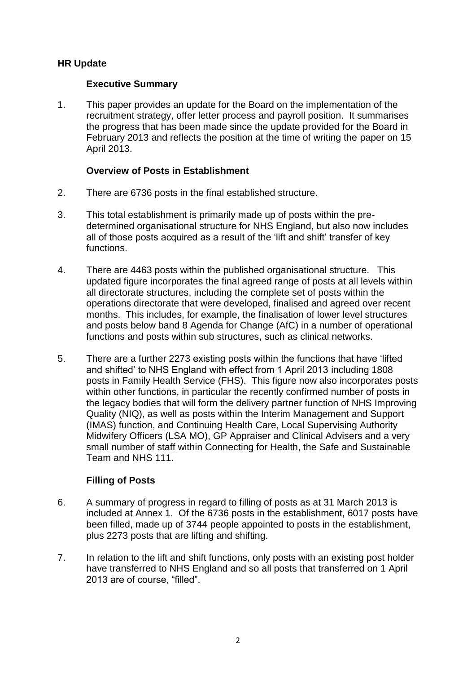# **HR Update**

## **Executive Summary**

1. This paper provides an update for the Board on the implementation of the recruitment strategy, offer letter process and payroll position. It summarises the progress that has been made since the update provided for the Board in February 2013 and reflects the position at the time of writing the paper on 15 April 2013.

### **Overview of Posts in Establishment**

- 2. There are 6736 posts in the final established structure.
- 3. This total establishment is primarily made up of posts within the predetermined organisational structure for NHS England, but also now includes all of those posts acquired as a result of the "lift and shift" transfer of key functions.
- 4. There are 4463 posts within the published organisational structure. This updated figure incorporates the final agreed range of posts at all levels within all directorate structures, including the complete set of posts within the operations directorate that were developed, finalised and agreed over recent months. This includes, for example, the finalisation of lower level structures and posts below band 8 Agenda for Change (AfC) in a number of operational functions and posts within sub structures, such as clinical networks.
- 5. There are a further 2273 existing posts within the functions that have "lifted and shifted" to NHS England with effect from 1 April 2013 including 1808 posts in Family Health Service (FHS). This figure now also incorporates posts within other functions, in particular the recently confirmed number of posts in the legacy bodies that will form the delivery partner function of NHS Improving Quality (NIQ), as well as posts within the Interim Management and Support (IMAS) function, and Continuing Health Care, Local Supervising Authority Midwifery Officers (LSA MO), GP Appraiser and Clinical Advisers and a very small number of staff within Connecting for Health, the Safe and Sustainable Team and NHS 111.

# **Filling of Posts**

- 6. A summary of progress in regard to filling of posts as at 31 March 2013 is included at Annex 1. Of the 6736 posts in the establishment, 6017 posts have been filled, made up of 3744 people appointed to posts in the establishment, plus 2273 posts that are lifting and shifting.
- 7. In relation to the lift and shift functions, only posts with an existing post holder have transferred to NHS England and so all posts that transferred on 1 April 2013 are of course, "filled".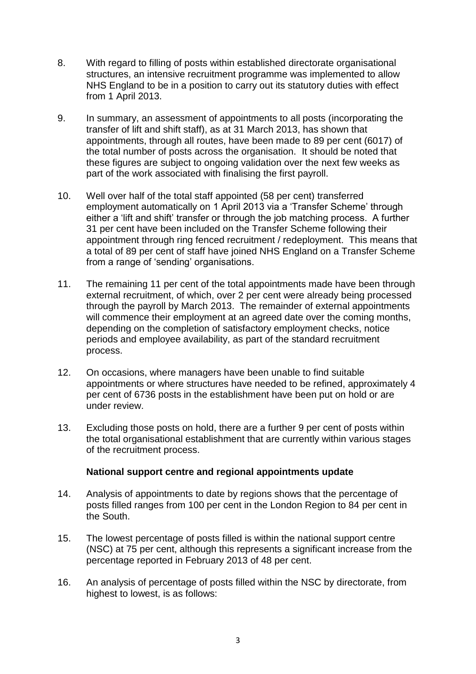- 8. With regard to filling of posts within established directorate organisational structures, an intensive recruitment programme was implemented to allow NHS England to be in a position to carry out its statutory duties with effect from 1 April 2013.
- 9. In summary, an assessment of appointments to all posts (incorporating the transfer of lift and shift staff), as at 31 March 2013, has shown that appointments, through all routes, have been made to 89 per cent (6017) of the total number of posts across the organisation. It should be noted that these figures are subject to ongoing validation over the next few weeks as part of the work associated with finalising the first payroll.
- 10. Well over half of the total staff appointed (58 per cent) transferred employment automatically on 1 April 2013 via a "Transfer Scheme" through either a "lift and shift" transfer or through the job matching process. A further 31 per cent have been included on the Transfer Scheme following their appointment through ring fenced recruitment / redeployment. This means that a total of 89 per cent of staff have joined NHS England on a Transfer Scheme from a range of 'sending' organisations.
- 11. The remaining 11 per cent of the total appointments made have been through external recruitment, of which, over 2 per cent were already being processed through the payroll by March 2013. The remainder of external appointments will commence their employment at an agreed date over the coming months, depending on the completion of satisfactory employment checks, notice periods and employee availability, as part of the standard recruitment process.
- 12. On occasions, where managers have been unable to find suitable appointments or where structures have needed to be refined, approximately 4 per cent of 6736 posts in the establishment have been put on hold or are under review.
- 13. Excluding those posts on hold, there are a further 9 per cent of posts within the total organisational establishment that are currently within various stages of the recruitment process.

#### **National support centre and regional appointments update**

- 14. Analysis of appointments to date by regions shows that the percentage of posts filled ranges from 100 per cent in the London Region to 84 per cent in the South.
- 15. The lowest percentage of posts filled is within the national support centre (NSC) at 75 per cent, although this represents a significant increase from the percentage reported in February 2013 of 48 per cent.
- 16. An analysis of percentage of posts filled within the NSC by directorate, from highest to lowest, is as follows: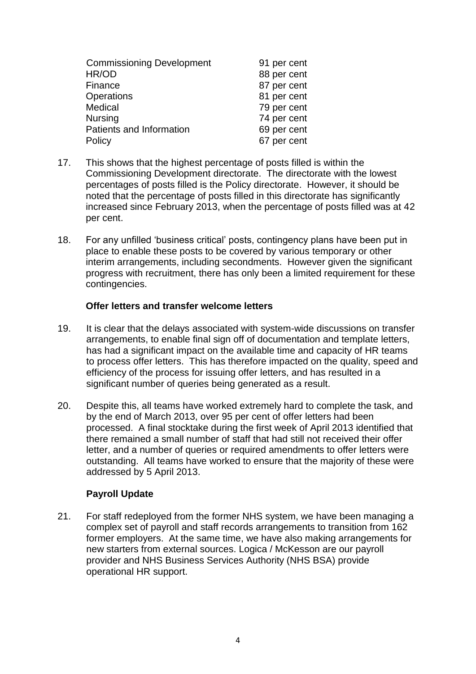| <b>Commissioning Development</b> | 91 per cent |
|----------------------------------|-------------|
| HR/OD                            | 88 per cent |
| Finance                          | 87 per cent |
| Operations                       | 81 per cent |
| Medical                          | 79 per cent |
| <b>Nursing</b>                   | 74 per cent |
| Patients and Information         | 69 per cent |
| Policy                           | 67 per cent |

- 17. This shows that the highest percentage of posts filled is within the Commissioning Development directorate. The directorate with the lowest percentages of posts filled is the Policy directorate. However, it should be noted that the percentage of posts filled in this directorate has significantly increased since February 2013, when the percentage of posts filled was at 42 per cent.
- 18. For any unfilled "business critical" posts, contingency plans have been put in place to enable these posts to be covered by various temporary or other interim arrangements, including secondments. However given the significant progress with recruitment, there has only been a limited requirement for these contingencies.

#### **Offer letters and transfer welcome letters**

- 19. It is clear that the delays associated with system-wide discussions on transfer arrangements, to enable final sign off of documentation and template letters, has had a significant impact on the available time and capacity of HR teams to process offer letters. This has therefore impacted on the quality, speed and efficiency of the process for issuing offer letters, and has resulted in a significant number of queries being generated as a result.
- 20. Despite this, all teams have worked extremely hard to complete the task, and by the end of March 2013, over 95 per cent of offer letters had been processed. A final stocktake during the first week of April 2013 identified that there remained a small number of staff that had still not received their offer letter, and a number of queries or required amendments to offer letters were outstanding. All teams have worked to ensure that the majority of these were addressed by 5 April 2013.

# **Payroll Update**

21. For staff redeployed from the former NHS system, we have been managing a complex set of payroll and staff records arrangements to transition from 162 former employers. At the same time, we have also making arrangements for new starters from external sources. Logica / McKesson are our payroll provider and NHS Business Services Authority (NHS BSA) provide operational HR support.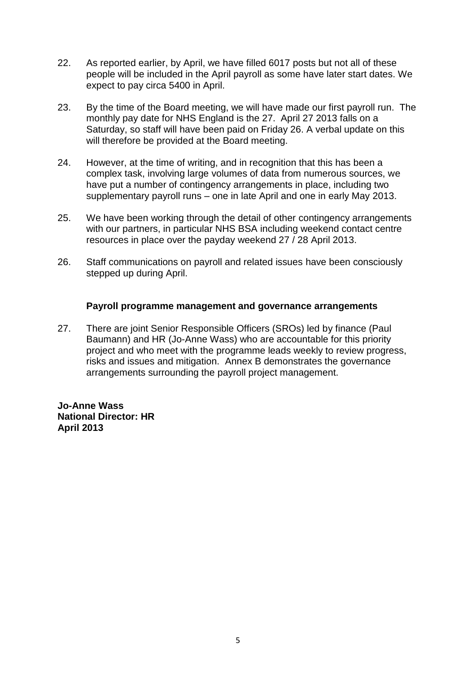- 22. As reported earlier, by April, we have filled 6017 posts but not all of these people will be included in the April payroll as some have later start dates. We expect to pay circa 5400 in April.
- 23. By the time of the Board meeting, we will have made our first payroll run. The monthly pay date for NHS England is the 27. April 27 2013 falls on a Saturday, so staff will have been paid on Friday 26. A verbal update on this will therefore be provided at the Board meeting.
- 24. However, at the time of writing, and in recognition that this has been a complex task, involving large volumes of data from numerous sources, we have put a number of contingency arrangements in place, including two supplementary payroll runs – one in late April and one in early May 2013.
- 25. We have been working through the detail of other contingency arrangements with our partners, in particular NHS BSA including weekend contact centre resources in place over the payday weekend 27 / 28 April 2013.
- 26. Staff communications on payroll and related issues have been consciously stepped up during April.

#### **Payroll programme management and governance arrangements**

27. There are joint Senior Responsible Officers (SROs) led by finance (Paul Baumann) and HR (Jo-Anne Wass) who are accountable for this priority project and who meet with the programme leads weekly to review progress, risks and issues and mitigation. Annex B demonstrates the governance arrangements surrounding the payroll project management.

**Jo-Anne Wass National Director: HR April 2013**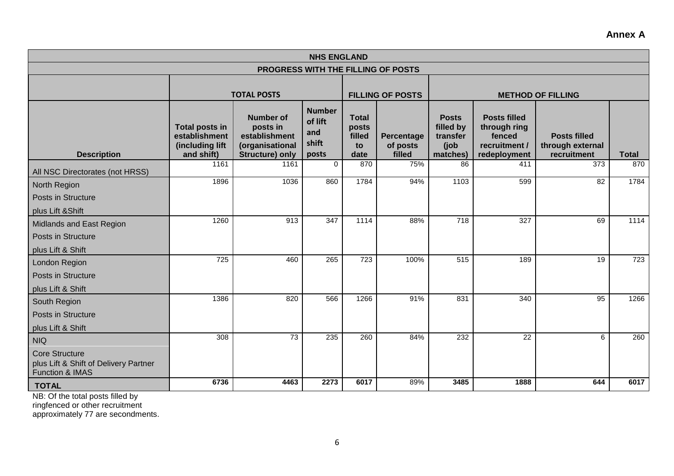#### **NHS ENGLAND PROGRESS WITH THE FILLING OF POSTS TOTAL POSTS FILLING OF POSTS Number of lift and shift Total posts filled to Percentage of posts Posts filled by transfer (job Posts filled through ring fenced recruitment / Posts filled through external**

**Annex A**

| <b>Description</b>                                                                | Total posts in<br>establishment<br>(including lift<br>and shift) | <b>Number of</b><br>posts in<br>establishment<br>(organisational<br><b>Structure) only</b> | <b>Number</b><br>of lift<br>and<br>shift<br>posts | <b>Total</b><br>posts<br>filled<br>to<br>date | Percentage<br>of posts<br>filled | <b>Posts</b><br>filled by<br>transfer<br>(job)<br>matches) | <b>Posts filled</b><br>through ring<br>fenced<br>recruitment /<br>redeployment | <b>Posts filled</b><br>through external<br>recruitment | <b>Total</b> |
|-----------------------------------------------------------------------------------|------------------------------------------------------------------|--------------------------------------------------------------------------------------------|---------------------------------------------------|-----------------------------------------------|----------------------------------|------------------------------------------------------------|--------------------------------------------------------------------------------|--------------------------------------------------------|--------------|
| All NSC Directorates (not HRSS)                                                   | 1161                                                             | 1161                                                                                       | 0                                                 | 870                                           | 75%                              | 86                                                         | 411                                                                            | 373                                                    | 870          |
| <b>North Region</b>                                                               | 1896                                                             | 1036                                                                                       | 860                                               | 1784                                          | 94%                              | 1103                                                       | 599                                                                            | $\overline{82}$                                        | 1784         |
| Posts in Structure                                                                |                                                                  |                                                                                            |                                                   |                                               |                                  |                                                            |                                                                                |                                                        |              |
| plus Lift & Shift                                                                 |                                                                  |                                                                                            |                                                   |                                               |                                  |                                                            |                                                                                |                                                        |              |
| Midlands and East Region                                                          | 1260                                                             | 913                                                                                        | 347                                               | 1114                                          | 88%                              | 718                                                        | 327                                                                            | 69                                                     | 1114         |
| Posts in Structure                                                                |                                                                  |                                                                                            |                                                   |                                               |                                  |                                                            |                                                                                |                                                        |              |
| plus Lift & Shift                                                                 |                                                                  |                                                                                            |                                                   |                                               |                                  |                                                            |                                                                                |                                                        |              |
| London Region                                                                     | 725                                                              | 460                                                                                        | 265                                               | 723                                           | 100%                             | 515                                                        | 189                                                                            | 19                                                     | 723          |
| Posts in Structure                                                                |                                                                  |                                                                                            |                                                   |                                               |                                  |                                                            |                                                                                |                                                        |              |
| plus Lift & Shift                                                                 |                                                                  |                                                                                            |                                                   |                                               |                                  |                                                            |                                                                                |                                                        |              |
| South Region                                                                      | 1386                                                             | 820                                                                                        | 566                                               | 1266                                          | 91%                              | 831                                                        | 340                                                                            | 95                                                     | 1266         |
| Posts in Structure                                                                |                                                                  |                                                                                            |                                                   |                                               |                                  |                                                            |                                                                                |                                                        |              |
| plus Lift & Shift                                                                 |                                                                  |                                                                                            |                                                   |                                               |                                  |                                                            |                                                                                |                                                        |              |
| <b>NIQ</b>                                                                        | 308                                                              | 73                                                                                         | 235                                               | 260                                           | 84%                              | 232                                                        | 22                                                                             | 6                                                      | 260          |
| <b>Core Structure</b><br>plus Lift & Shift of Delivery Partner<br>Function & IMAS |                                                                  |                                                                                            |                                                   |                                               |                                  |                                                            |                                                                                |                                                        |              |
| <b>TOTAL</b>                                                                      | 6736                                                             | 4463                                                                                       | 2273                                              | 6017                                          | 89%                              | 3485                                                       | 1888                                                                           | 644                                                    | 6017         |

NB: Of the total posts filled by

ringfenced or other recruitment

approximately 77 are secondments.